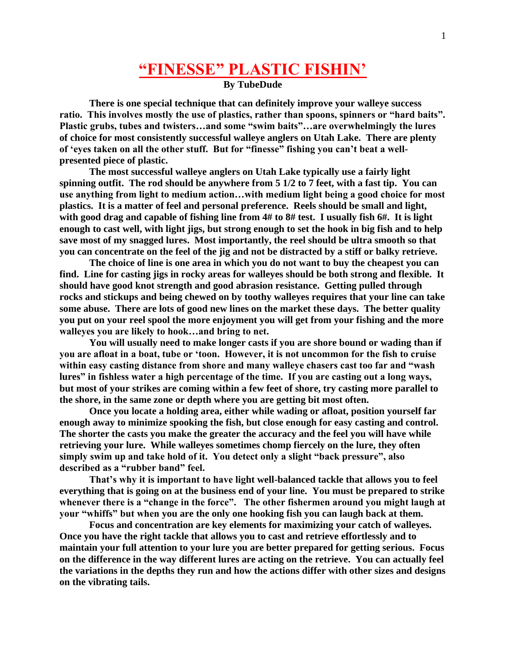## **"FINESSE" PLASTIC FISHIN'**

**By TubeDude**

**There is one special technique that can definitely improve your walleye success ratio. This involves mostly the use of plastics, rather than spoons, spinners or "hard baits". Plastic grubs, tubes and twisters…and some "swim baits"…are overwhelmingly the lures of choice for most consistently successful walleye anglers on Utah Lake. There are plenty of 'eyes taken on all the other stuff. But for "finesse" fishing you can't beat a wellpresented piece of plastic.**

**The most successful walleye anglers on Utah Lake typically use a fairly light spinning outfit. The rod should be anywhere from 5 1/2 to 7 feet, with a fast tip. You can use anything from light to medium action…with medium light being a good choice for most plastics. It is a matter of feel and personal preference. Reels should be small and light, with good drag and capable of fishing line from 4# to 8# test. I usually fish 6#. It is light enough to cast well, with light jigs, but strong enough to set the hook in big fish and to help save most of my snagged lures. Most importantly, the reel should be ultra smooth so that you can concentrate on the feel of the jig and not be distracted by a stiff or balky retrieve.**

**The choice of line is one area in which you do not want to buy the cheapest you can find. Line for casting jigs in rocky areas for walleyes should be both strong and flexible. It should have good knot strength and good abrasion resistance. Getting pulled through rocks and stickups and being chewed on by toothy walleyes requires that your line can take some abuse. There are lots of good new lines on the market these days. The better quality you put on your reel spool the more enjoyment you will get from your fishing and the more walleyes you are likely to hook…and bring to net.**

**You will usually need to make longer casts if you are shore bound or wading than if you are afloat in a boat, tube or 'toon. However, it is not uncommon for the fish to cruise within easy casting distance from shore and many walleye chasers cast too far and "wash lures" in fishless water a high percentage of the time. If you are casting out a long ways, but most of your strikes are coming within a few feet of shore, try casting more parallel to the shore, in the same zone or depth where you are getting bit most often.**

**Once you locate a holding area, either while wading or afloat, position yourself far enough away to minimize spooking the fish, but close enough for easy casting and control. The shorter the casts you make the greater the accuracy and the feel you will have while retrieving your lure. While walleyes sometimes chomp fiercely on the lure, they often simply swim up and take hold of it. You detect only a slight "back pressure", also described as a "rubber band" feel.** 

**That's why it is important to have light well-balanced tackle that allows you to feel everything that is going on at the business end of your line. You must be prepared to strike**  whenever there is a "change in the force". The other fishermen around you might laugh at **your "whiffs" but when you are the only one hooking fish you can laugh back at them.**

**Focus and concentration are key elements for maximizing your catch of walleyes. Once you have the right tackle that allows you to cast and retrieve effortlessly and to maintain your full attention to your lure you are better prepared for getting serious. Focus on the difference in the way different lures are acting on the retrieve. You can actually feel the variations in the depths they run and how the actions differ with other sizes and designs on the vibrating tails.**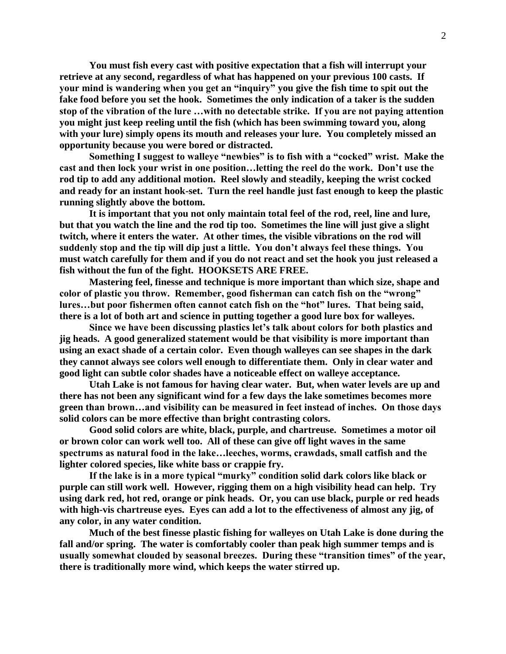**You must fish every cast with positive expectation that a fish will interrupt your retrieve at any second, regardless of what has happened on your previous 100 casts. If your mind is wandering when you get an "inquiry" you give the fish time to spit out the fake food before you set the hook. Sometimes the only indication of a taker is the sudden stop of the vibration of the lure …with no detectable strike. If you are not paying attention you might just keep reeling until the fish (which has been swimming toward you, along with your lure) simply opens its mouth and releases your lure. You completely missed an opportunity because you were bored or distracted.**

**Something I suggest to walleye "newbies" is to fish with a "cocked" wrist. Make the cast and then lock your wrist in one position…letting the reel do the work. Don't use the rod tip to add any additional motion. Reel slowly and steadily, keeping the wrist cocked and ready for an instant hook-set. Turn the reel handle just fast enough to keep the plastic running slightly above the bottom.**

**It is important that you not only maintain total feel of the rod, reel, line and lure, but that you watch the line and the rod tip too. Sometimes the line will just give a slight twitch, where it enters the water. At other times, the visible vibrations on the rod will suddenly stop and the tip will dip just a little. You don't always feel these things. You must watch carefully for them and if you do not react and set the hook you just released a fish without the fun of the fight. HOOKSETS ARE FREE.**

**Mastering feel, finesse and technique is more important than which size, shape and color of plastic you throw. Remember, good fisherman can catch fish on the "wrong" lures…but poor fishermen often cannot catch fish on the "hot" lures. That being said, there is a lot of both art and science in putting together a good lure box for walleyes.**

**Since we have been discussing plastics let's talk about colors for both plastics and jig heads. A good generalized statement would be that visibility is more important than using an exact shade of a certain color. Even though walleyes can see shapes in the dark they cannot always see colors well enough to differentiate them. Only in clear water and good light can subtle color shades have a noticeable effect on walleye acceptance.** 

**Utah Lake is not famous for having clear water. But, when water levels are up and there has not been any significant wind for a few days the lake sometimes becomes more green than brown…and visibility can be measured in feet instead of inches. On those days solid colors can be more effective than bright contrasting colors.** 

**Good solid colors are white, black, purple, and chartreuse. Sometimes a motor oil or brown color can work well too. All of these can give off light waves in the same spectrums as natural food in the lake…leeches, worms, crawdads, small catfish and the lighter colored species, like white bass or crappie fry.**

**If the lake is in a more typical "murky" condition solid dark colors like black or purple can still work well. However, rigging them on a high visibility head can help. Try using dark red, hot red, orange or pink heads. Or, you can use black, purple or red heads with high-vis chartreuse eyes. Eyes can add a lot to the effectiveness of almost any jig, of any color, in any water condition.**

**Much of the best finesse plastic fishing for walleyes on Utah Lake is done during the fall and/or spring. The water is comfortably cooler than peak high summer temps and is usually somewhat clouded by seasonal breezes. During these "transition times" of the year, there is traditionally more wind, which keeps the water stirred up.**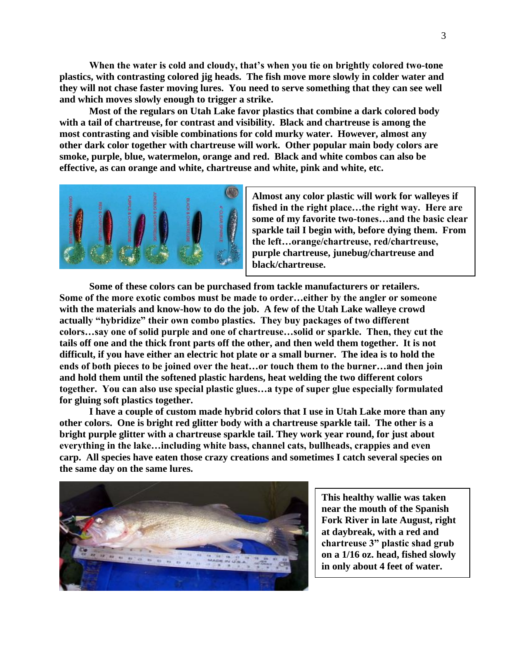**When the water is cold and cloudy, that's when you tie on brightly colored two-tone plastics, with contrasting colored jig heads. The fish move more slowly in colder water and they will not chase faster moving lures. You need to serve something that they can see well and which moves slowly enough to trigger a strike.**

**Most of the regulars on Utah Lake favor plastics that combine a dark colored body with a tail of chartreuse, for contrast and visibility. Black and chartreuse is among the most contrasting and visible combinations for cold murky water. However, almost any other dark color together with chartreuse will work. Other popular main body colors are smoke, purple, blue, watermelon, orange and red. Black and white combos can also be effective, as can orange and white, chartreuse and white, pink and white, etc.**



**Almost any color plastic will work for walleyes if fished in the right place…the right way. Here are some of my favorite two-tones…and the basic clear sparkle tail I begin with, before dying them. From the left…orange/chartreuse, red/chartreuse, purple chartreuse, junebug/chartreuse and black/chartreuse.**

**Some of these colors can be purchased from tackle manufacturers or retailers. Some of the more exotic combos must be made to order…either by the angler or someone with the materials and know-how to do the job. A few of the Utah Lake walleye crowd actually "hybridize" their own combo plastics. They buy packages of two different colors…say one of solid purple and one of chartreuse…solid or sparkle. Then, they cut the tails off one and the thick front parts off the other, and then weld them together. It is not difficult, if you have either an electric hot plate or a small burner. The idea is to hold the ends of both pieces to be joined over the heat…or touch them to the burner…and then join and hold them until the softened plastic hardens, heat welding the two different colors together. You can also use special plastic glues…a type of super glue especially formulated for gluing soft plastics together.**

**I have a couple of custom made hybrid colors that I use in Utah Lake more than any other colors. One is bright red glitter body with a chartreuse sparkle tail. The other is a bright purple glitter with a chartreuse sparkle tail. They work year round, for just about everything in the lake…including white bass, channel cats, bullheads, crappies and even carp. All species have eaten those crazy creations and sometimes I catch several species on the same day on the same lures.** 



**This healthy wallie was taken near the mouth of the Spanish Fork River in late August, right at daybreak, with a red and chartreuse 3" plastic shad grub on a 1/16 oz. head, fished slowly in only about 4 feet of water.**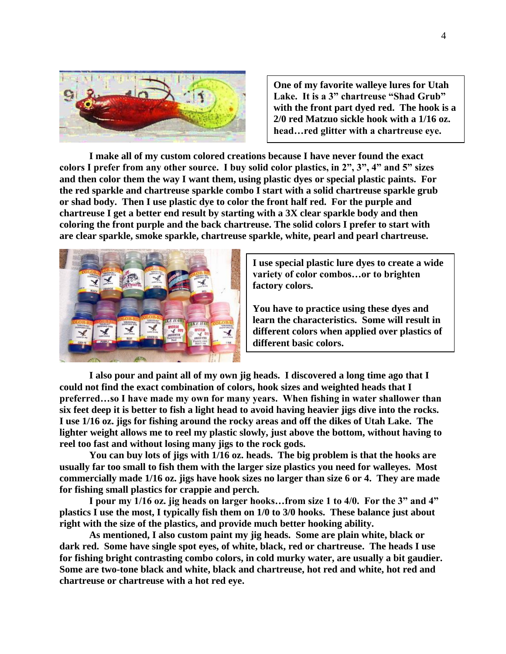

**One of my favorite walleye lures for Utah Lake. It is a 3" chartreuse "Shad Grub" with the front part dyed red. The hook is a 2/0 red Matzuo sickle hook with a 1/16 oz. head…red glitter with a chartreuse eye.**

**I make all of my custom colored creations because I have never found the exact colors I prefer from any other source. I buy solid color plastics, in 2", 3", 4" and 5" sizes and then color them the way I want them, using plastic dyes or special plastic paints. For the red sparkle and chartreuse sparkle combo I start with a solid chartreuse sparkle grub or shad body. Then I use plastic dye to color the front half red. For the purple and chartreuse I get a better end result by starting with a 3X clear sparkle body and then coloring the front purple and the back chartreuse. The solid colors I prefer to start with are clear sparkle, smoke sparkle, chartreuse sparkle, white, pearl and pearl chartreuse.**



**I use special plastic lure dyes to create a wide variety of color combos…or to brighten factory colors.**

**You have to practice using these dyes and learn the characteristics. Some will result in different colors when applied over plastics of different basic colors.**

**I also pour and paint all of my own jig heads. I discovered a long time ago that I could not find the exact combination of colors, hook sizes and weighted heads that I preferred…so I have made my own for many years. When fishing in water shallower than six feet deep it is better to fish a light head to avoid having heavier jigs dive into the rocks. I use 1/16 oz. jigs for fishing around the rocky areas and off the dikes of Utah Lake. The lighter weight allows me to reel my plastic slowly, just above the bottom, without having to reel too fast and without losing many jigs to the rock gods.**

**You can buy lots of jigs with 1/16 oz. heads. The big problem is that the hooks are usually far too small to fish them with the larger size plastics you need for walleyes. Most commercially made 1/16 oz. jigs have hook sizes no larger than size 6 or 4. They are made for fishing small plastics for crappie and perch.** 

**I pour my 1/16 oz. jig heads on larger hooks…from size 1 to 4/0. For the 3" and 4" plastics I use the most, I typically fish them on 1/0 to 3/0 hooks. These balance just about right with the size of the plastics, and provide much better hooking ability.** 

**As mentioned, I also custom paint my jig heads. Some are plain white, black or dark red. Some have single spot eyes, of white, black, red or chartreuse. The heads I use for fishing bright contrasting combo colors, in cold murky water, are usually a bit gaudier. Some are two-tone black and white, black and chartreuse, hot red and white, hot red and chartreuse or chartreuse with a hot red eye.**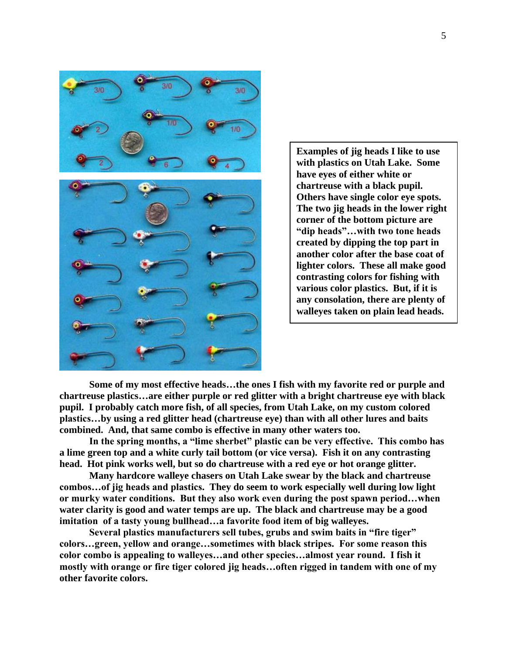

**Examples of jig heads I like to use with plastics on Utah Lake. Some have eyes of either white or chartreuse with a black pupil. Others have single color eye spots. The two jig heads in the lower right corner of the bottom picture are "dip heads"…with two tone heads created by dipping the top part in another color after the base coat of lighter colors. These all make good contrasting colors for fishing with various color plastics. But, if it is any consolation, there are plenty of walleyes taken on plain lead heads.**

**Some of my most effective heads…the ones I fish with my favorite red or purple and chartreuse plastics…are either purple or red glitter with a bright chartreuse eye with black pupil. I probably catch more fish, of all species, from Utah Lake, on my custom colored plastics…by using a red glitter head (chartreuse eye) than with all other lures and baits combined. And, that same combo is effective in many other waters too.**

**In the spring months, a "lime sherbet" plastic can be very effective. This combo has a lime green top and a white curly tail bottom (or vice versa). Fish it on any contrasting head. Hot pink works well, but so do chartreuse with a red eye or hot orange glitter.**

**Many hardcore walleye chasers on Utah Lake swear by the black and chartreuse combos…of jig heads and plastics. They do seem to work especially well during low light or murky water conditions. But they also work even during the post spawn period…when water clarity is good and water temps are up. The black and chartreuse may be a good imitation of a tasty young bullhead…a favorite food item of big walleyes.**

**Several plastics manufacturers sell tubes, grubs and swim baits in "fire tiger" colors…green, yellow and orange…sometimes with black stripes. For some reason this color combo is appealing to walleyes…and other species…almost year round. I fish it mostly with orange or fire tiger colored jig heads…often rigged in tandem with one of my other favorite colors.**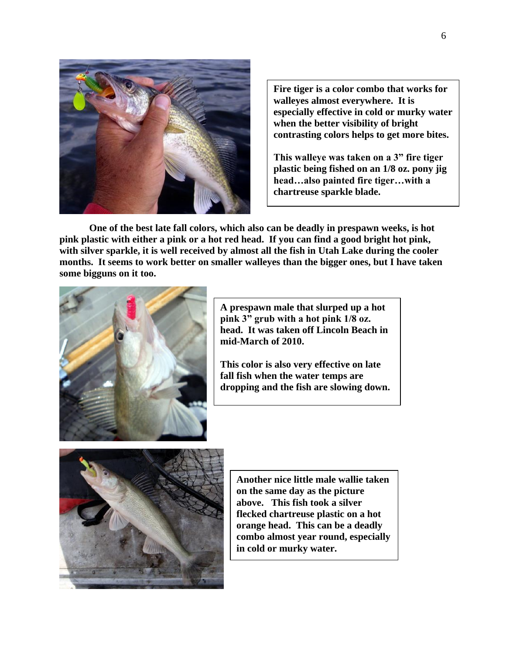

**Fire tiger is a color combo that works for walleyes almost everywhere. It is especially effective in cold or murky water when the better visibility of bright contrasting colors helps to get more bites.**

**This walleye was taken on a 3" fire tiger plastic being fished on an 1/8 oz. pony jig head…also painted fire tiger…with a chartreuse sparkle blade.**

**One of the best late fall colors, which also can be deadly in prespawn weeks, is hot pink plastic with either a pink or a hot red head. If you can find a good bright hot pink, with silver sparkle, it is well received by almost all the fish in Utah Lake during the cooler months. It seems to work better on smaller walleyes than the bigger ones, but I have taken some bigguns on it too.** 



**A prespawn male that slurped up a hot pink 3" grub with a hot pink 1/8 oz. head. It was taken off Lincoln Beach in mid-March of 2010.**

**This color is also very effective on late fall fish when the water temps are dropping and the fish are slowing down.**



**Another nice little male wallie taken on the same day as the picture above. This fish took a silver flecked chartreuse plastic on a hot orange head. This can be a deadly combo almost year round, especially in cold or murky water.**